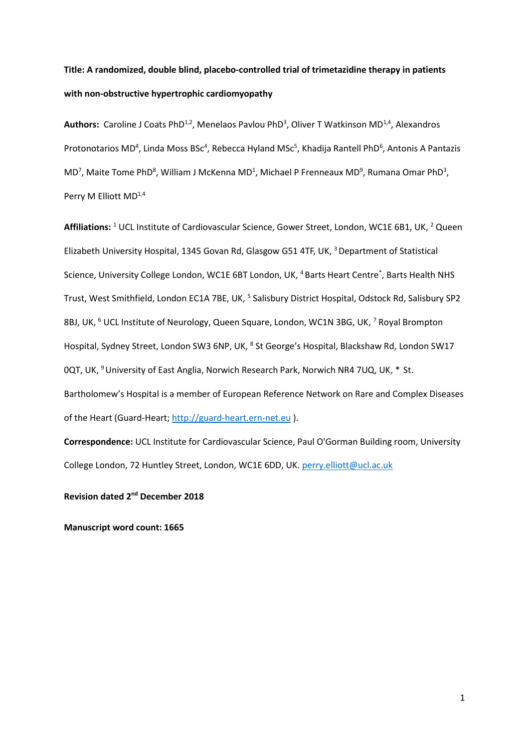# **Title: A randomized, double blind, placebo-controlled trial of trimetazidine therapy in patients with non-obstructive hypertrophic cardiomyopathy**

Authors: Caroline J Coats PhD<sup>1,2</sup>, Menelaos Pavlou PhD<sup>3</sup>, Oliver T Watkinson MD<sup>1,4</sup>, Alexandros Protonotarios MD<sup>4</sup>, Linda Moss BSc<sup>4</sup>, Rebecca Hyland MSc<sup>5</sup>, Khadija Rantell PhD<sup>6</sup>, Antonis A Pantazis  $MD<sup>7</sup>$ , Maite Tome PhD<sup>8</sup>, William J McKenna MD<sup>1</sup>, Michael P Frenneaux MD<sup>9</sup>, Rumana Omar PhD<sup>3</sup>, Perry M Elliott MD<sup>1,4</sup>

Affiliations: <sup>1</sup> UCL Institute of Cardiovascular Science, Gower Street, London, WC1E 6B1, UK, <sup>2</sup> Queen Elizabeth University Hospital, 1345 Govan Rd, Glasgow G51 4TF, UK, <sup>3</sup>Department of Statistical Science, University College London, WC1E 6BT London, UK, <sup>4</sup> Barts Heart Centre<sup>\*</sup>, Barts Health NHS Trust, West Smithfield, London EC1A 7BE, UK, <sup>5</sup> Salisbury District Hospital, Odstock Rd, Salisbury SP2 8BJ, UK, <sup>6</sup> UCL Institute of Neurology, Queen Square, London, WC1N 3BG, UK, <sup>7</sup> Royal Brompton Hospital, Sydney Street, London SW3 6NP, UK, <sup>8</sup> St George's Hospital, Blackshaw Rd, London SW17 0QT, UK, <sup>9</sup> University of East Anglia, Norwich Research Park, Norwich NR4 7UQ, UK, \* St. Bartholomew's Hospital is a member of European Reference Network on Rare and Complex Diseases of the Heart (Guard-Heart; [http://guard-heart.ern-net.eu](http://guard-heart.ern-net.eu/) ).

**Correspondence:** UCL Institute for Cardiovascular Science, Paul O'Gorman Building room, University College London, 72 Huntley Street, London, WC1E 6DD, UK. [perry.elliott@ucl.ac.uk](mailto:perry.elliott@ucl.ac.uk)

**Revision dated 2<sup>nd</sup> December 2018** 

**Manuscript word count: 1665**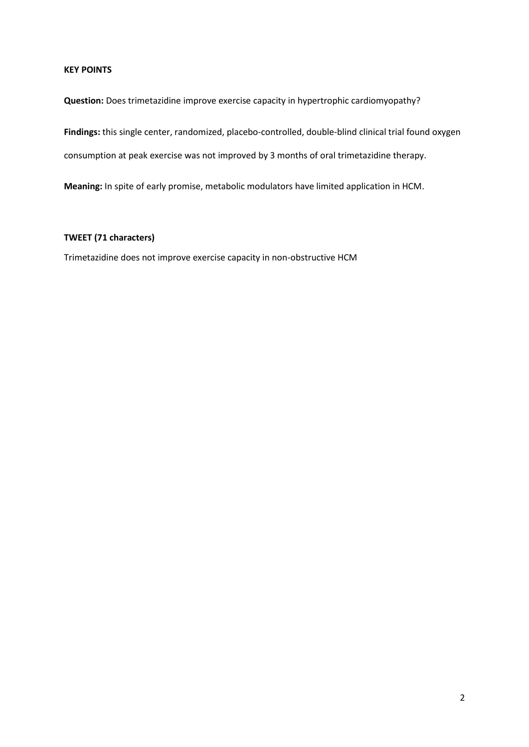# **KEY POINTS**

**Question:** Does trimetazidine improve exercise capacity in hypertrophic cardiomyopathy?

**Findings:** this single center, randomized, placebo-controlled, double-blind clinical trial found oxygen

consumption at peak exercise was not improved by 3 months of oral trimetazidine therapy.

**Meaning:** In spite of early promise, metabolic modulators have limited application in HCM.

# **TWEET (71 characters)**

Trimetazidine does not improve exercise capacity in non-obstructive HCM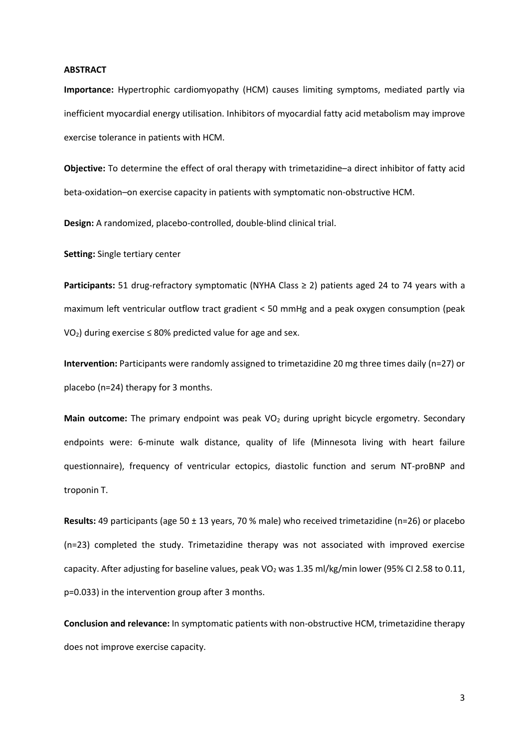#### **ABSTRACT**

**Importance:** Hypertrophic cardiomyopathy (HCM) causes limiting symptoms, mediated partly via inefficient myocardial energy utilisation. Inhibitors of myocardial fatty acid metabolism may improve exercise tolerance in patients with HCM.

**Objective:** To determine the effect of oral therapy with trimetazidine–a direct inhibitor of fatty acid beta-oxidation–on exercise capacity in patients with symptomatic non-obstructive HCM.

**Design:** A randomized, placebo-controlled, double-blind clinical trial.

**Setting:** Single tertiary center

Participants: 51 drug-refractory symptomatic (NYHA Class ≥ 2) patients aged 24 to 74 years with a maximum left ventricular outflow tract gradient < 50 mmHg and a peak oxygen consumption (peak  $VO<sub>2</sub>$ ) during exercise  $\leq$  80% predicted value for age and sex.

**Intervention:** Participants were randomly assigned to trimetazidine 20 mg three times daily (n=27) or placebo (n=24) therapy for 3 months.

Main outcome: The primary endpoint was peak VO<sub>2</sub> during upright bicycle ergometry. Secondary endpoints were: 6-minute walk distance, quality of life (Minnesota living with heart failure questionnaire), frequency of ventricular ectopics, diastolic function and serum NT-proBNP and troponin T.

**Results:** 49 participants (age 50 ± 13 years, 70 % male) who received trimetazidine (n=26) or placebo (n=23) completed the study. Trimetazidine therapy was not associated with improved exercise capacity. After adjusting for baseline values, peak VO<sub>2</sub> was 1.35 ml/kg/min lower (95% CI 2.58 to 0.11, p=0.033) in the intervention group after 3 months.

**Conclusion and relevance:** In symptomatic patients with non-obstructive HCM, trimetazidine therapy does not improve exercise capacity.

3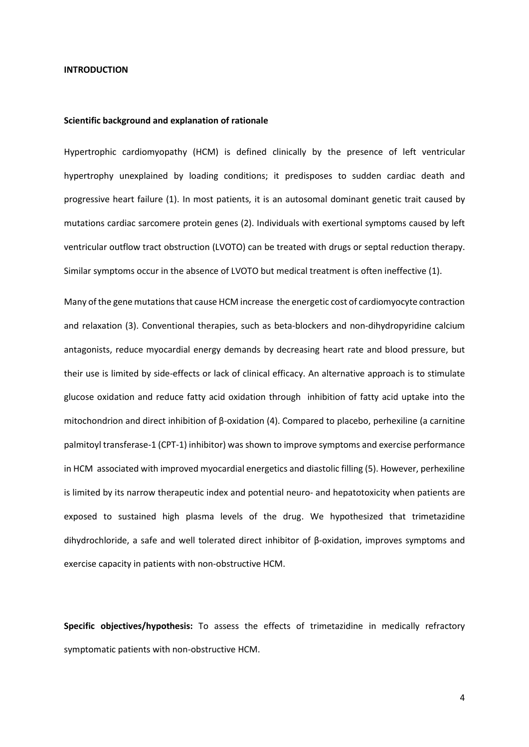#### **INTRODUCTION**

#### **Scientific background and explanation of rationale**

Hypertrophic cardiomyopathy (HCM) is defined clinically by the presence of left ventricular hypertrophy unexplained by loading conditions; it predisposes to sudden cardiac death and progressive heart failure (1). In most patients, it is an autosomal dominant genetic trait caused by mutations cardiac sarcomere protein genes (2). Individuals with exertional symptoms caused by left ventricular outflow tract obstruction (LVOTO) can be treated with drugs or septal reduction therapy. Similar symptoms occur in the absence of LVOTO but medical treatment is often ineffective (1).

Many of the gene mutations that cause HCM increase the energetic cost of cardiomyocyte contraction and relaxation (3). Conventional therapies, such as beta-blockers and non-dihydropyridine calcium antagonists, reduce myocardial energy demands by decreasing heart rate and blood pressure, but their use is limited by side-effects or lack of clinical efficacy. An alternative approach is to stimulate glucose oxidation and reduce fatty acid oxidation through inhibition of fatty acid uptake into the mitochondrion and direct inhibition of β-oxidation (4). Compared to placebo, perhexiline (a carnitine palmitoyl transferase-1 (CPT-1) inhibitor) was shown to improve symptoms and exercise performance in HCM associated with improved myocardial energetics and diastolic filling (5). However, perhexiline is limited by its narrow therapeutic index and potential neuro- and hepatotoxicity when patients are exposed to sustained high plasma levels of the drug. We hypothesized that trimetazidine dihydrochloride, a safe and well tolerated direct inhibitor of β-oxidation, improves symptoms and exercise capacity in patients with non-obstructive HCM.

**Specific objectives/hypothesis:** To assess the effects of trimetazidine in medically refractory symptomatic patients with non-obstructive HCM.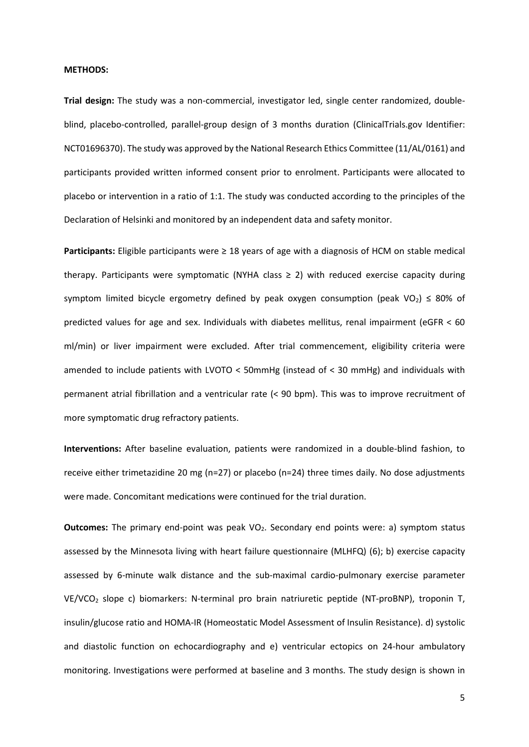#### **METHODS:**

**Trial design:** The study was a non-commercial, investigator led, single center randomized, doubleblind, placebo-controlled, parallel-group design of 3 months duration (ClinicalTrials.gov Identifier: NCT01696370). The study was approved by the National Research Ethics Committee (11/AL/0161) and participants provided written informed consent prior to enrolment. Participants were allocated to placebo or intervention in a ratio of 1:1. The study was conducted according to the principles of the Declaration of Helsinki and monitored by an independent data and safety monitor.

**Participants:** Eligible participants were ≥ 18 years of age with a diagnosis of HCM on stable medical therapy. Participants were symptomatic (NYHA class  $\geq$  2) with reduced exercise capacity during symptom limited bicycle ergometry defined by peak oxygen consumption (peak VO<sub>2</sub>)  $\leq$  80% of predicted values for age and sex. Individuals with diabetes mellitus, renal impairment (eGFR < 60 ml/min) or liver impairment were excluded. After trial commencement, eligibility criteria were amended to include patients with LVOTO < 50mmHg (instead of < 30 mmHg) and individuals with permanent atrial fibrillation and a ventricular rate (< 90 bpm). This was to improve recruitment of more symptomatic drug refractory patients.

**Interventions:** After baseline evaluation, patients were randomized in a double-blind fashion, to receive either trimetazidine 20 mg (n=27) or placebo (n=24) three times daily. No dose adjustments were made. Concomitant medications were continued for the trial duration.

**Outcomes:** The primary end-point was peak VO<sub>2</sub>. Secondary end points were: a) symptom status assessed by the Minnesota living with heart failure questionnaire (MLHFQ) (6); b) exercise capacity assessed by 6-minute walk distance and the sub-maximal cardio-pulmonary exercise parameter VE/VCO<sup>2</sup> slope c) biomarkers: N-terminal pro brain natriuretic peptide (NT-proBNP), troponin T, insulin/glucose ratio and HOMA-IR (Homeostatic Model Assessment of Insulin Resistance). d) systolic and diastolic function on echocardiography and e) ventricular ectopics on 24-hour ambulatory monitoring. Investigations were performed at baseline and 3 months. The study design is shown in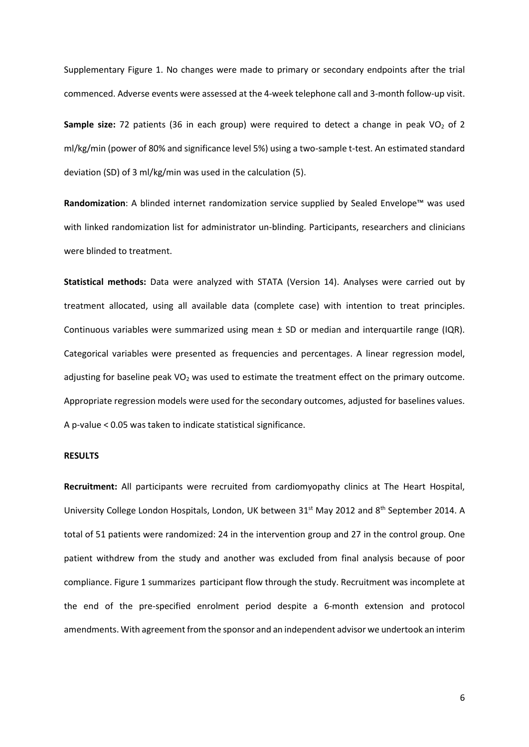Supplementary Figure 1. No changes were made to primary or secondary endpoints after the trial commenced. Adverse events were assessed at the 4-week telephone call and 3-month follow-up visit.

**Sample size:** 72 patients (36 in each group) were required to detect a change in peak VO<sub>2</sub> of 2 ml/kg/min (power of 80% and significance level 5%) using a two-sample t-test. An estimated standard deviation (SD) of 3 ml/kg/min was used in the calculation (5).

**Randomization**: A blinded internet randomization service supplied by Sealed Envelope™ was used with linked randomization list for administrator un-blinding. Participants, researchers and clinicians were blinded to treatment.

**Statistical methods:** Data were analyzed with STATA (Version 14). Analyses were carried out by treatment allocated, using all available data (complete case) with intention to treat principles. Continuous variables were summarized using mean  $\pm$  SD or median and interquartile range (IQR). Categorical variables were presented as frequencies and percentages. A linear regression model, adjusting for baseline peak  $VO<sub>2</sub>$  was used to estimate the treatment effect on the primary outcome. Appropriate regression models were used for the secondary outcomes, adjusted for baselines values. A p-value < 0.05 was taken to indicate statistical significance.

### **RESULTS**

**Recruitment:** All participants were recruited from cardiomyopathy clinics at The Heart Hospital, University College London Hospitals, London, UK between 31<sup>st</sup> May 2012 and 8<sup>th</sup> September 2014. A total of 51 patients were randomized: 24 in the intervention group and 27 in the control group. One patient withdrew from the study and another was excluded from final analysis because of poor compliance. Figure 1 summarizes participant flow through the study. Recruitment was incomplete at the end of the pre-specified enrolment period despite a 6-month extension and protocol amendments. With agreement from the sponsor and an independent advisor we undertook an interim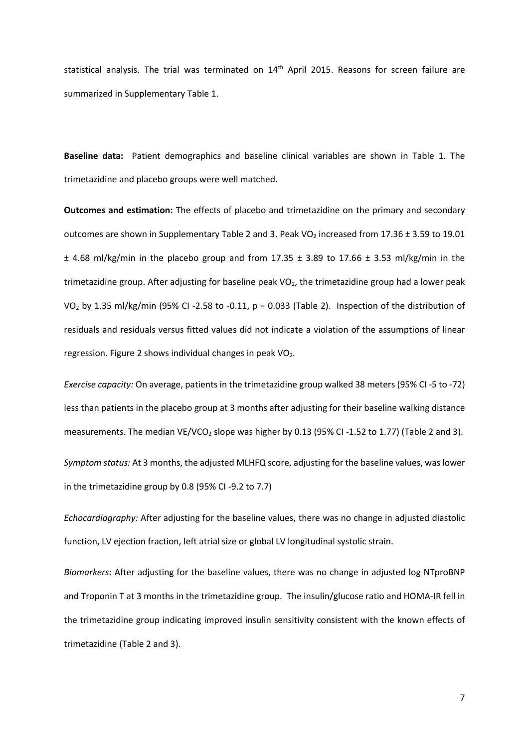statistical analysis. The trial was terminated on 14<sup>th</sup> April 2015. Reasons for screen failure are summarized in Supplementary Table 1.

**Baseline data:** Patient demographics and baseline clinical variables are shown in Table 1. The trimetazidine and placebo groups were well matched.

**Outcomes and estimation:** The effects of placebo and trimetazidine on the primary and secondary outcomes are shown in Supplementary Table 2 and 3. Peak VO<sub>2</sub> increased from 17.36  $\pm$  3.59 to 19.01  $\pm$  4.68 ml/kg/min in the placebo group and from 17.35  $\pm$  3.89 to 17.66  $\pm$  3.53 ml/kg/min in the trimetazidine group. After adjusting for baseline peak VO<sub>2</sub>, the trimetazidine group had a lower peak VO<sub>2</sub> by 1.35 ml/kg/min (95% CI -2.58 to -0.11, p = 0.033 (Table 2). Inspection of the distribution of residuals and residuals versus fitted values did not indicate a violation of the assumptions of linear regression. Figure 2 shows individual changes in peak  $VO<sub>2</sub>$ .

*Exercise capacity:* On average, patients in the trimetazidine group walked 38 meters (95% CI -5 to -72) less than patients in the placebo group at 3 months after adjusting for their baseline walking distance measurements. The median VE/VCO<sub>2</sub> slope was higher by 0.13 (95% CI -1.52 to 1.77) (Table 2 and 3).

*Symptom status:* At 3 months, the adjusted MLHFQ score, adjusting for the baseline values, was lower in the trimetazidine group by 0.8 (95% CI -9.2 to 7.7)

*Echocardiography:* After adjusting for the baseline values, there was no change in adjusted diastolic function, LV ejection fraction, left atrial size or global LV longitudinal systolic strain.

*Biomarkers***:** After adjusting for the baseline values, there was no change in adjusted log NTproBNP and Troponin T at 3 months in the trimetazidine group. The insulin/glucose ratio and HOMA-IR fell in the trimetazidine group indicating improved insulin sensitivity consistent with the known effects of trimetazidine (Table 2 and 3).

7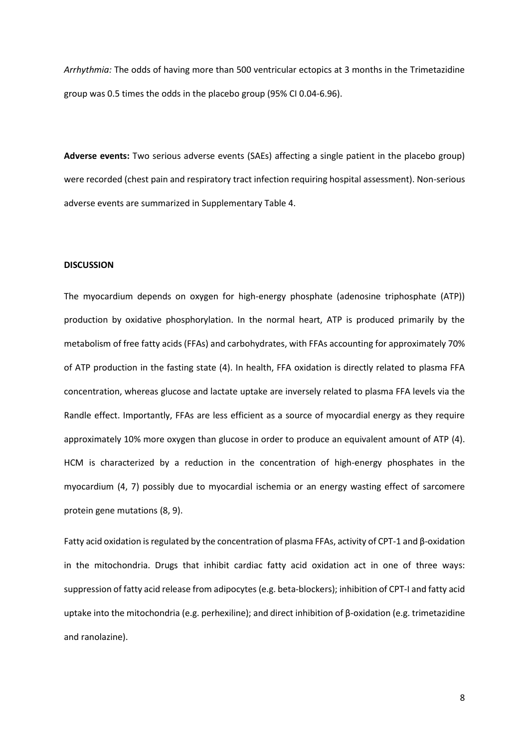*Arrhythmia:* The odds of having more than 500 ventricular ectopics at 3 months in the Trimetazidine group was 0.5 times the odds in the placebo group (95% CI 0.04-6.96).

**Adverse events:** Two serious adverse events (SAEs) affecting a single patient in the placebo group) were recorded (chest pain and respiratory tract infection requiring hospital assessment). Non-serious adverse events are summarized in Supplementary Table 4.

#### **DISCUSSION**

The myocardium depends on oxygen for high-energy phosphate (adenosine triphosphate (ATP)) production by oxidative phosphorylation. In the normal heart, ATP is produced primarily by the metabolism of free fatty acids (FFAs) and carbohydrates, with FFAs accounting for approximately 70% of ATP production in the fasting state (4). In health, FFA oxidation is directly related to plasma FFA concentration, whereas glucose and lactate uptake are inversely related to plasma FFA levels via the Randle effect. Importantly, FFAs are less efficient as a source of myocardial energy as they require approximately 10% more oxygen than glucose in order to produce an equivalent amount of ATP (4). HCM is characterized by a reduction in the concentration of high-energy phosphates in the myocardium (4, 7) possibly due to myocardial ischemia or an energy wasting effect of sarcomere protein gene mutations (8, 9).

Fatty acid oxidation is regulated by the concentration of plasma FFAs, activity of CPT-1 and β-oxidation in the mitochondria. Drugs that inhibit cardiac fatty acid oxidation act in one of three ways: suppression of fatty acid release from adipocytes (e.g. beta-blockers); inhibition of CPT-I and fatty acid uptake into the mitochondria (e.g. perhexiline); and direct inhibition of β-oxidation (e.g. trimetazidine and ranolazine).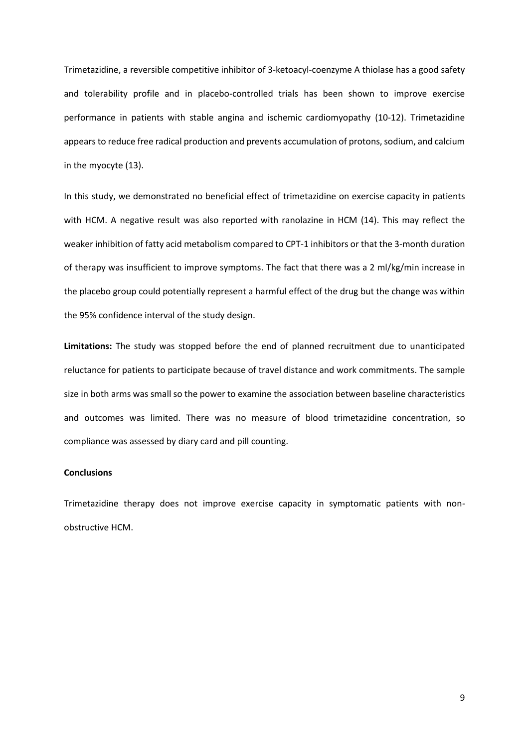Trimetazidine, a reversible competitive inhibitor of 3-ketoacyl-coenzyme A thiolase has a good safety and tolerability profile and in placebo-controlled trials has been shown to improve exercise performance in patients with stable angina and ischemic cardiomyopathy (10-12). Trimetazidine appears to reduce free radical production and prevents accumulation of protons, sodium, and calcium in the myocyte (13).

In this study, we demonstrated no beneficial effect of trimetazidine on exercise capacity in patients with HCM. A negative result was also reported with ranolazine in HCM (14). This may reflect the weaker inhibition of fatty acid metabolism compared to CPT-1 inhibitors or that the 3-month duration of therapy was insufficient to improve symptoms. The fact that there was a 2 ml/kg/min increase in the placebo group could potentially represent a harmful effect of the drug but the change was within the 95% confidence interval of the study design.

**Limitations:** The study was stopped before the end of planned recruitment due to unanticipated reluctance for patients to participate because of travel distance and work commitments. The sample size in both arms was small so the power to examine the association between baseline characteristics and outcomes was limited. There was no measure of blood trimetazidine concentration, so compliance was assessed by diary card and pill counting.

#### **Conclusions**

Trimetazidine therapy does not improve exercise capacity in symptomatic patients with nonobstructive HCM.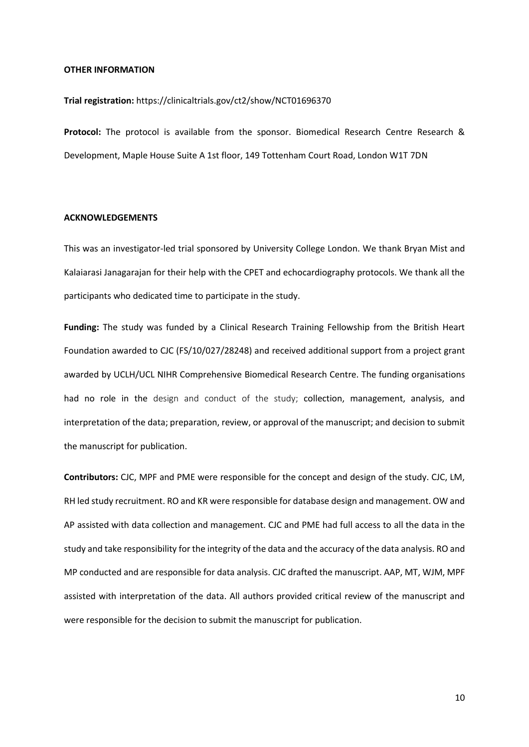#### **OTHER INFORMATION**

#### **Trial registration:** https://clinicaltrials.gov/ct2/show/NCT01696370

**Protocol:** The protocol is available from the sponsor. Biomedical Research Centre Research & Development, Maple House Suite A 1st floor, 149 Tottenham Court Road, London W1T 7DN

# **ACKNOWLEDGEMENTS**

This was an investigator-led trial sponsored by University College London. We thank Bryan Mist and Kalaiarasi Janagarajan for their help with the CPET and echocardiography protocols. We thank all the participants who dedicated time to participate in the study.

**Funding:** The study was funded by a Clinical Research Training Fellowship from the British Heart Foundation awarded to CJC (FS/10/027/28248) and received additional support from a project grant awarded by UCLH/UCL NIHR Comprehensive Biomedical Research Centre. The funding organisations had no role in the design and conduct of the study; collection, management, analysis, and interpretation of the data; preparation, review, or approval of the manuscript; and decision to submit the manuscript for publication.

**Contributors:** CJC, MPF and PME were responsible for the concept and design of the study. CJC, LM, RH led study recruitment. RO and KR were responsible for database design and management. OW and AP assisted with data collection and management. CJC and PME had full access to all the data in the study and take responsibility for the integrity of the data and the accuracy of the data analysis. RO and MP conducted and are responsible for data analysis. CJC drafted the manuscript. AAP, MT, WJM, MPF assisted with interpretation of the data. All authors provided critical review of the manuscript and were responsible for the decision to submit the manuscript for publication.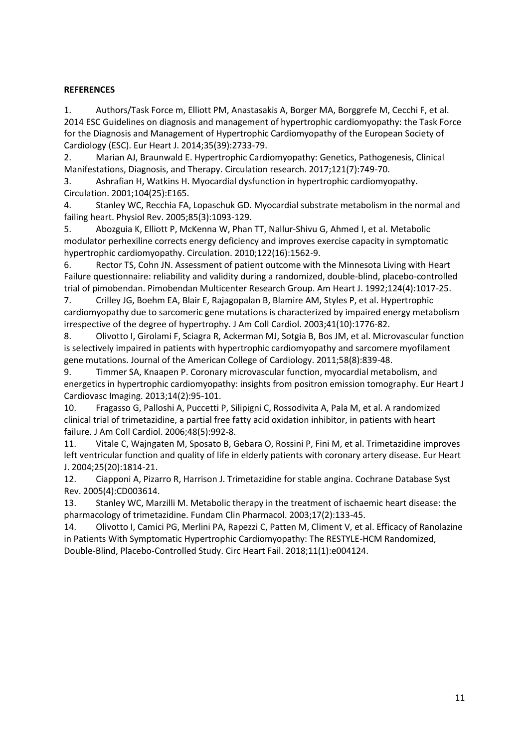# **REFERENCES**

1. Authors/Task Force m, Elliott PM, Anastasakis A, Borger MA, Borggrefe M, Cecchi F, et al. 2014 ESC Guidelines on diagnosis and management of hypertrophic cardiomyopathy: the Task Force for the Diagnosis and Management of Hypertrophic Cardiomyopathy of the European Society of Cardiology (ESC). Eur Heart J. 2014;35(39):2733-79.

2. Marian AJ, Braunwald E. Hypertrophic Cardiomyopathy: Genetics, Pathogenesis, Clinical Manifestations, Diagnosis, and Therapy. Circulation research. 2017;121(7):749-70.

3. Ashrafian H, Watkins H. Myocardial dysfunction in hypertrophic cardiomyopathy. Circulation. 2001;104(25):E165.

4. Stanley WC, Recchia FA, Lopaschuk GD. Myocardial substrate metabolism in the normal and failing heart. Physiol Rev. 2005;85(3):1093-129.

5. Abozguia K, Elliott P, McKenna W, Phan TT, Nallur-Shivu G, Ahmed I, et al. Metabolic modulator perhexiline corrects energy deficiency and improves exercise capacity in symptomatic hypertrophic cardiomyopathy. Circulation. 2010;122(16):1562-9.

6. Rector TS, Cohn JN. Assessment of patient outcome with the Minnesota Living with Heart Failure questionnaire: reliability and validity during a randomized, double-blind, placebo-controlled trial of pimobendan. Pimobendan Multicenter Research Group. Am Heart J. 1992;124(4):1017-25.

7. Crilley JG, Boehm EA, Blair E, Rajagopalan B, Blamire AM, Styles P, et al. Hypertrophic cardiomyopathy due to sarcomeric gene mutations is characterized by impaired energy metabolism irrespective of the degree of hypertrophy. J Am Coll Cardiol. 2003;41(10):1776-82.

8. Olivotto I, Girolami F, Sciagra R, Ackerman MJ, Sotgia B, Bos JM, et al. Microvascular function is selectively impaired in patients with hypertrophic cardiomyopathy and sarcomere myofilament gene mutations. Journal of the American College of Cardiology. 2011;58(8):839-48.

9. Timmer SA, Knaapen P. Coronary microvascular function, myocardial metabolism, and energetics in hypertrophic cardiomyopathy: insights from positron emission tomography. Eur Heart J Cardiovasc Imaging. 2013;14(2):95-101.

10. Fragasso G, Palloshi A, Puccetti P, Silipigni C, Rossodivita A, Pala M, et al. A randomized clinical trial of trimetazidine, a partial free fatty acid oxidation inhibitor, in patients with heart failure. J Am Coll Cardiol. 2006;48(5):992-8.

11. Vitale C, Wajngaten M, Sposato B, Gebara O, Rossini P, Fini M, et al. Trimetazidine improves left ventricular function and quality of life in elderly patients with coronary artery disease. Eur Heart J. 2004;25(20):1814-21.

12. Ciapponi A, Pizarro R, Harrison J. Trimetazidine for stable angina. Cochrane Database Syst Rev. 2005(4):CD003614.

13. Stanley WC, Marzilli M. Metabolic therapy in the treatment of ischaemic heart disease: the pharmacology of trimetazidine. Fundam Clin Pharmacol. 2003;17(2):133-45.

14. Olivotto I, Camici PG, Merlini PA, Rapezzi C, Patten M, Climent V, et al. Efficacy of Ranolazine in Patients With Symptomatic Hypertrophic Cardiomyopathy: The RESTYLE-HCM Randomized, Double-Blind, Placebo-Controlled Study. Circ Heart Fail. 2018;11(1):e004124.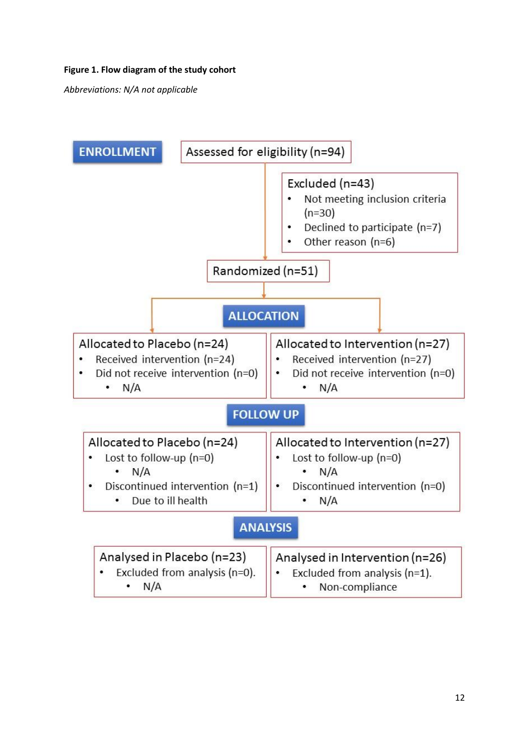# **Figure 1. Flow diagram of the study cohort**

*Abbreviations: N/A not applicable*

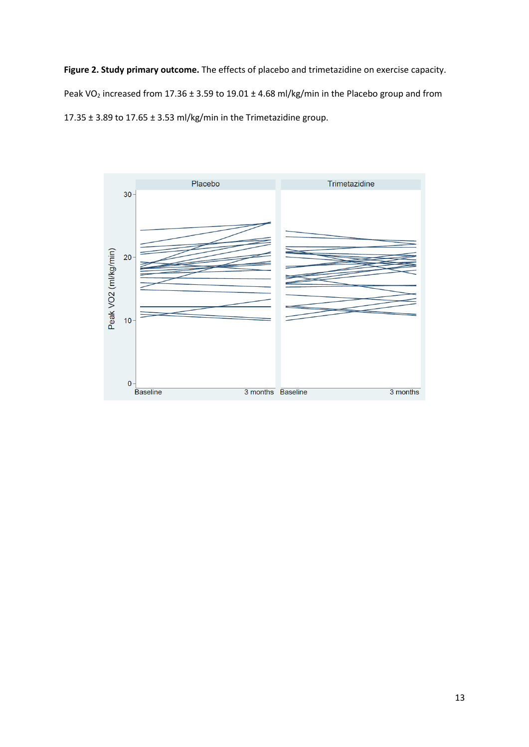**Figure 2. Study primary outcome.** The effects of placebo and trimetazidine on exercise capacity. Peak VO<sub>2</sub> increased from 17.36 ± 3.59 to 19.01 ± 4.68 ml/kg/min in the Placebo group and from 17.35 ± 3.89 to 17.65 ± 3.53 ml/kg/min in the Trimetazidine group.

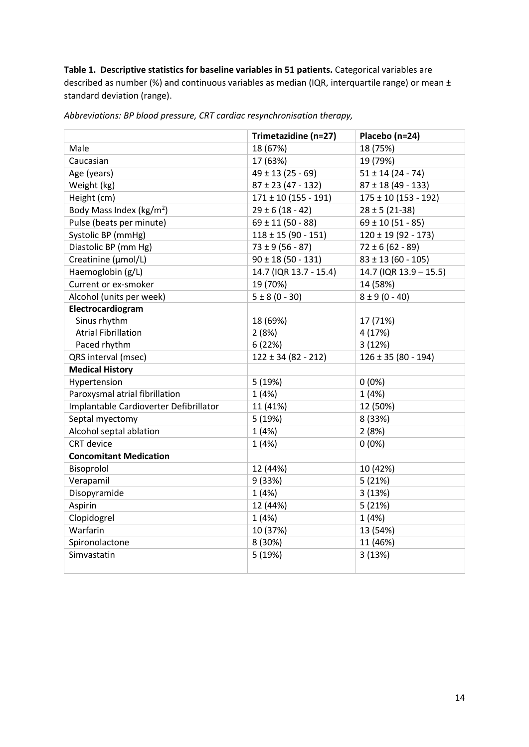**Table 1. Descriptive statistics for baseline variables in 51 patients.** Categorical variables are described as number (%) and continuous variables as median (IQR, interquartile range) or mean ± standard deviation (range).

|                                        | Trimetazidine (n=27)     | Placebo (n=24)           |
|----------------------------------------|--------------------------|--------------------------|
| Male                                   | 18 (67%)                 | 18 (75%)                 |
| Caucasian                              | 17 (63%)                 | 19 (79%)                 |
| Age (years)                            | $49 \pm 13 (25 - 69)$    | $51 \pm 14 (24 - 74)$    |
| Weight (kg)                            | $87 \pm 23 (47 - 132)$   | $87 \pm 18 (49 - 133)$   |
| Height (cm)                            | $171 \pm 10 (155 - 191)$ | $175 \pm 10 (153 - 192)$ |
| Body Mass Index ( $\text{kg/m}^2$ )    | $29 \pm 6 (18 - 42)$     | $28 \pm 5 (21 - 38)$     |
| Pulse (beats per minute)               | $69 \pm 11 (50 - 88)$    | $69 \pm 10 (51 - 85)$    |
| Systolic BP (mmHg)                     | $118 \pm 15 (90 - 151)$  | $120 \pm 19 (92 - 173)$  |
| Diastolic BP (mm Hg)                   | $73 \pm 9 (56 - 87)$     | $72 \pm 6 (62 - 89)$     |
| Creatinine (µmol/L)                    | $90 \pm 18 (50 - 131)$   | $83 \pm 13 (60 - 105)$   |
| Haemoglobin (g/L)                      | 14.7 (IQR 13.7 - 15.4)   | 14.7 (IQR 13.9 - 15.5)   |
| Current or ex-smoker                   | 19 (70%)                 | 14 (58%)                 |
| Alcohol (units per week)               | $5 \pm 8 (0 - 30)$       | $8 \pm 9 (0 - 40)$       |
| Electrocardiogram                      |                          |                          |
| Sinus rhythm                           | 18 (69%)                 | 17 (71%)                 |
| <b>Atrial Fibrillation</b>             | 2(8%)                    | 4 (17%)                  |
| Paced rhythm                           | 6(22%)                   | 3(12%)                   |
| QRS interval (msec)                    | $122 \pm 34 (82 - 212)$  | $126 \pm 35 (80 - 194)$  |
| <b>Medical History</b>                 |                          |                          |
| Hypertension                           | 5 (19%)                  | $0(0\%)$                 |
| Paroxysmal atrial fibrillation         | 1(4%)                    | 1(4%)                    |
| Implantable Cardioverter Defibrillator | 11 (41%)                 | 12 (50%)                 |
| Septal myectomy                        | 5 (19%)                  | 8 (33%)                  |
| Alcohol septal ablation                | 1(4%)                    | 2(8%)                    |
| <b>CRT</b> device                      | 1(4%)                    | $0(0\%)$                 |
| <b>Concomitant Medication</b>          |                          |                          |
| Bisoprolol                             | 12 (44%)                 | 10 (42%)                 |
| Verapamil                              | 9 (33%)                  | 5(21%)                   |
| Disopyramide                           | 1(4%)                    | 3(13%)                   |
| Aspirin                                | 12 (44%)                 | 5(21%)                   |
| Clopidogrel                            | 1(4%)                    | 1(4%)                    |
| Warfarin                               | 10 (37%)                 | 13 (54%)                 |
| Spironolactone                         | 8 (30%)                  | 11 (46%)                 |
| Simvastatin                            | 5 (19%)                  | 3(13%)                   |
|                                        |                          |                          |

*Abbreviations: BP blood pressure, CRT cardiac resynchronisation therapy,*